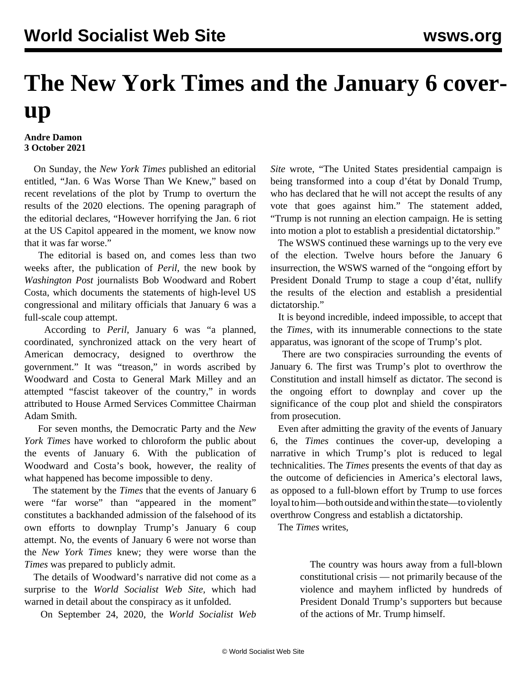## **The New York Times and the January 6 coverup**

## **Andre Damon 3 October 2021**

 On Sunday, the *New York Times* published an editorial entitled, "Jan. 6 Was Worse Than We Knew," based on recent revelations of the plot by Trump to overturn the results of the 2020 elections. The opening paragraph of the editorial declares, "However horrifying the Jan. 6 riot at the US Capitol appeared in the moment, we know now that it was far worse."

 The editorial is based on, and comes less than two weeks after, the publication of *Peril*, the new book by *Washington Post* journalists Bob Woodward and Robert Costa, which documents the statements of high-level US congressional and military officials that January 6 was a full-scale coup attempt.

 According to *Peril*, January 6 was "a planned, coordinated, synchronized attack on the very heart of American democracy, designed to overthrow the government." It was "treason," in words ascribed by Woodward and Costa to General Mark Milley and an attempted "fascist takeover of the country," in words attributed to House Armed Services Committee Chairman Adam Smith.

 For seven months, the Democratic Party and the *New York Times* have worked to chloroform the public about the events of January 6. With the publication of Woodward and Costa's book, however, the reality of what happened has become impossible to deny.

 The statement by the *Times* that the events of January 6 were "far worse" than "appeared in the moment" constitutes a backhanded admission of the falsehood of its own efforts to downplay Trump's January 6 coup attempt. No, the events of January 6 were not worse than the *New York Times* knew; they were worse than the *Times* was prepared to publicly admit.

 The details of Woodward's narrative did not come as a surprise to the *World Socialist Web Site,* which had warned in detail about the conspiracy as it unfolded.

On September 24, 2020, the *World Socialist Web*

*Site* [wrote,](/en/articles/2020/09/24/pers-s24.html) "The United States presidential campaign is being transformed into a coup d'état by Donald Trump, who has declared that he will not accept the results of any vote that goes against him." The statement added, "Trump is not running an election campaign. He is setting into motion a plot to establish a presidential dictatorship."

 The WSWS continued these warnings up to the very eve of the election. Twelve hours before the January 6 insurrection, the WSWS warned of the "ongoing effort by President Donald Trump to stage a coup d'état, nullify the results of the election and establish a presidential dictatorship."

 It is beyond incredible, indeed impossible, to accept that the *Times*, with its innumerable connections to the state apparatus, was ignorant of the scope of Trump's plot.

 There are two conspiracies surrounding the events of January 6. The first was Trump's plot to overthrow the Constitution and install himself as dictator. The second is the ongoing effort to downplay and cover up the significance of the coup plot and shield the conspirators from prosecution.

 Even after admitting the gravity of the events of January 6, the *Times* continues the cover-up, developing a narrative in which Trump's plot is reduced to legal technicalities. The *Times* presents the events of that day as the outcome of deficiencies in America's electoral laws, as opposed to a full-blown effort by Trump to use forces loyal to him—both outside and within the state—to violently overthrow Congress and establish a dictatorship.

The *Times* writes,

 The country was hours away from a full-blown constitutional crisis — not primarily because of the violence and mayhem inflicted by hundreds of President Donald Trump's supporters but because of the actions of Mr. Trump himself.